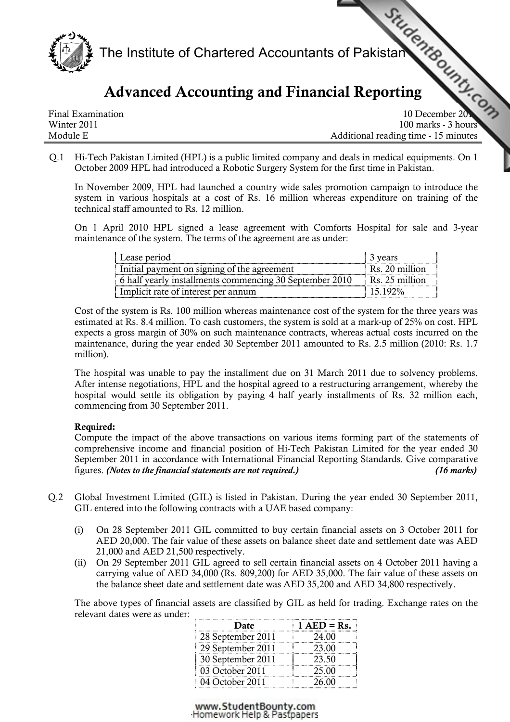

# Advanced Accounting and Financi[al Reporting](http://www.studentbounty.com)

Final Examination **10** December 2011 Winter 2011 100 marks - 3 hours Module E Additional reading time - 15 minutes

Q.1 Hi-Tech Pakistan Limited (HPL) is a public limited company and deals in medical equipments. On 1 October 2009 HPL had introduced a Robotic Surgery System for the first time in Pakistan.

In November 2009, HPL had launched a country wide sales promotion campaign to introduce the system in various hospitals at a cost of Rs. 16 million whereas expenditure on training of the technical staff amounted to Rs. 12 million.

On 1 April 2010 HPL signed a lease agreement with Comforts Hospital for sale and 3-year maintenance of the system. The terms of the agreement are as under:

| Lease period                                            | 3 vears                    |
|---------------------------------------------------------|----------------------------|
| Initial payment on signing of the agreement             | Rs. 20 million             |
| 6 half yearly installments commencing 30 September 2010 | $\parallel$ Rs. 25 million |
| Implicit rate of interest per annum                     | $15192\%$                  |

Cost of the system is Rs. 100 million whereas maintenance cost of the system for the three years was estimated at Rs. 8.4 million. To cash customers, the system is sold at a mark-up of 25% on cost. HPL expects a gross margin of 30% on such maintenance contracts, whereas actual costs incurred on the maintenance, during the year ended 30 September 2011 amounted to Rs. 2.5 million (2010: Rs. 1.7 million).

The hospital was unable to pay the installment due on 31 March 2011 due to solvency problems. After intense negotiations, HPL and the hospital agreed to a restructuring arrangement, whereby the hospital would settle its obligation by paying 4 half yearly installments of Rs. 32 million each, commencing from 30 September 2011.

# Required:

Compute the impact of the above transactions on various items forming part of the statements of comprehensive income and financial position of Hi-Tech Pakistan Limited for the year ended 30 September 2011 in accordance with International Financial Reporting Standards. Give comparative figures. (Notes to the financial statements are not required.) (16 marks)

- Q.2 Global Investment Limited (GIL) is listed in Pakistan. During the year ended 30 September 2011, GIL entered into the following contracts with a UAE based company:
	- (i) On 28 September 2011 GIL committed to buy certain financial assets on 3 October 2011 for AED 20,000. The fair value of these assets on balance sheet date and settlement date was AED 21,000 and AED 21,500 respectively.
	- (ii) On 29 September 2011 GIL agreed to sell certain financial assets on 4 October 2011 having a carrying value of AED 34,000 (Rs. 809,200) for AED 35,000. The fair value of these assets on the balance sheet date and settlement date was AED 35,200 and AED 34,800 respectively.

The above types of financial assets are classified by GIL as held for trading. Exchange rates on the relevant dates were as under:

| Date              | $1 AED = Rs.$ |
|-------------------|---------------|
| 28 September 2011 | 24.00         |
| 29 September 2011 | 23.00         |
| 30 September 2011 | 23.50         |
| 03 October 2011   | 25.00         |
| 04 October 2011   | 26.00         |

www.StudentBounty.com Homework Help & Pastpapers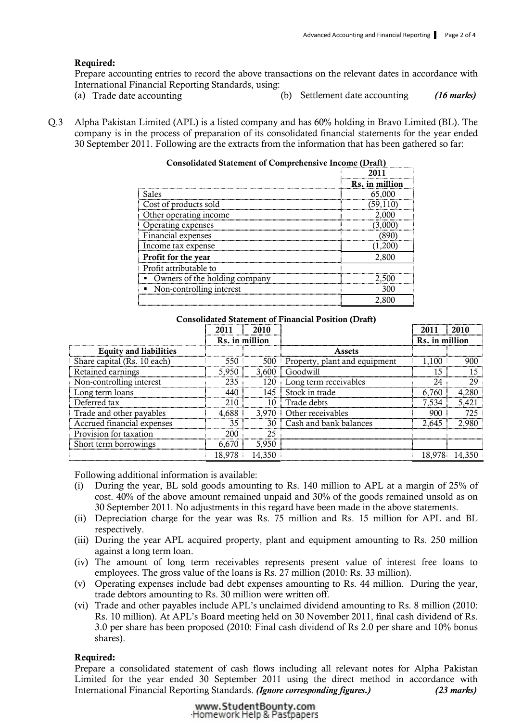# Required:

Prepare accounting entries to record the above transactions on the relevant dates in accordance with International Financial Reporting Standards, using:

- 
- (a) Trade date accounting (b) Settlement date accounting (16 marks)
- Q.3 Alpha Pakistan Limited (APL) is a listed company and has 60% holding in Bravo Limited (BL). The company is in the process of preparation of its consolidated financial statements for the year ended 30 September 2011. Following are the extracts from the information that has been gathered so far:

| <b>Consolidated Statement of Comprehensive Income (Draft)</b> |                |  |
|---------------------------------------------------------------|----------------|--|
|                                                               |                |  |
|                                                               | Rs. in million |  |
| Sales                                                         | 65,000         |  |
| Cost of products sold                                         | (59, 110)      |  |
| Other operating income                                        | 2,000          |  |
| Operating expenses                                            |                |  |
| Financial expenses                                            |                |  |
| Income tax expense                                            |                |  |
| Profit for the year                                           | 2.800          |  |
| Profit attributable to                                        |                |  |
| Owners of the holding company                                 |                |  |
| Non-controlling interest                                      | 300            |  |
|                                                               |                |  |

#### Consolidated Statement of Financial Position (Draft)

|                               | 2011           | 2010   |                               | 2011           | 2010  |
|-------------------------------|----------------|--------|-------------------------------|----------------|-------|
|                               | Rs. in million |        |                               | Rs. in million |       |
| <b>Equity and liabilities</b> |                |        | Assets                        |                |       |
| Share capital (Rs. 10 each)   | 550            | 500    | Property, plant and equipment | 1.100          | 900   |
| Retained earnings             | 5.950          | 3.600  | Goodwill                      | 5              |       |
| Non-controlling interest      | 235            | 120    | Long term receivables         | 24             | 29    |
| Long term loans               | 440            | 145    | Stock in trade                | 6.760          | 4,280 |
| Deferred tax                  | 210            | 10     | Trade debts                   | 7,534          | 5,421 |
| Trade and other payables      | 4.688          | 3.970  | Other receivables             | 900            | 725   |
| Accrued financial expenses    | 35             | 30     | Cash and bank balances        | 2.645          | 2,980 |
| Provision for taxation        | 200            | 25     |                               |                |       |
| Short term borrowings         | 6,670          | 5,950  |                               |                |       |
|                               | 18,978         | 14.350 |                               |                |       |

Following additional information is available:

- (i) During the year, BL sold goods amounting to Rs. 140 million to APL at a margin of 25% of cost. 40% of the above amount remained unpaid and 30% of the goods remained unsold as on 30 September 2011. No adjustments in this regard have been made in the above statements.
- (ii) Depreciation charge for the year was Rs. 75 million and Rs. 15 million for APL and BL respectively.
- (iii) During the year APL acquired property, plant and equipment amounting to Rs. 250 million against a long term loan.
- (iv) The amount of long term receivables represents present value of interest free loans to employees. The gross value of the loans is Rs. 27 million (2010: Rs. 33 million).
- (v) Operating expenses include bad debt expenses amounting to Rs. 44 million. During the year, trade debtors amounting to Rs. 30 million were written off.
- (vi) Trade and other payables include APL's unclaimed dividend amounting to Rs. 8 million (2010: Rs. 10 million). At APL's Board meeting held on 30 November 2011, final cash dividend of Rs. 3.0 per share has been proposed (2010: Final cash dividend of Rs 2.0 per share and 10% bonus shares).

#### Required:

Prepare a consolidated statement of cash flows including all relevant notes for Alpha Pakistan Limited for the year ended 30 September 2011 using the direct method in accordance with International Financial Reporting Standards. (Ignore corresponding figures.) (23 marks)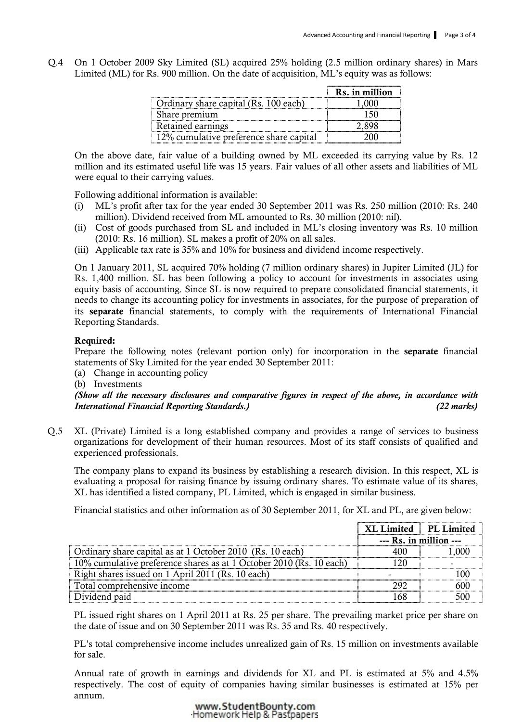Q.4 On 1 October 2009 Sky Limited (SL) acquired 25% holding (2.5 million ordinary shares) in Mars Limited (ML) for Rs. 900 million. On the date of acquisition, ML's equity was as follows:

|                                         | Rs. in million |
|-----------------------------------------|----------------|
| Ordinary share capital (Rs. 100 each)   |                |
| I Share premium                         |                |
| Retained earnings                       |                |
| 12% cumulative preference share capital |                |

On the above date, fair value of a building owned by ML exceeded its carrying value by Rs. 12 million and its estimated useful life was 15 years. Fair values of all other assets and liabilities of ML were equal to their carrying values.

Following additional information is available:

- (i) ML's profit after tax for the year ended 30 September 2011 was Rs. 250 million (2010: Rs. 240 million). Dividend received from ML amounted to Rs. 30 million (2010: nil).
- (ii) Cost of goods purchased from SL and included in ML's closing inventory was Rs. 10 million (2010: Rs. 16 million). SL makes a profit of 20% on all sales.
- (iii) Applicable tax rate is 35% and 10% for business and dividend income respectively.

On 1 January 2011, SL acquired 70% holding (7 million ordinary shares) in Jupiter Limited (JL) for Rs. 1,400 million. SL has been following a policy to account for investments in associates using equity basis of accounting. Since SL is now required to prepare consolidated financial statements, it needs to change its accounting policy for investments in associates, for the purpose of preparation of its separate financial statements, to comply with the requirements of International Financial Reporting Standards.

# Required:

Prepare the following notes (relevant portion only) for incorporation in the separate financial statements of Sky Limited for the year ended 30 September 2011:

(a) Change in accounting policy

(b) Investments

(Show all the necessary disclosures and comparative figures in respect of the above, in accordance with International Financial Reporting Standards.) (22 marks)

Q.5 XL (Private) Limited is a long established company and provides a range of services to business organizations for development of their human resources. Most of its staff consists of qualified and experienced professionals.

The company plans to expand its business by establishing a research division. In this respect, XL is evaluating a proposal for raising finance by issuing ordinary shares. To estimate value of its shares, XL has identified a listed company, PL Limited, which is engaged in similar business.

Financial statistics and other information as of 30 September 2011, for XL and PL, are given below:

|                                                                     | XL Limited   PL Limited |       |
|---------------------------------------------------------------------|-------------------------|-------|
|                                                                     | $-$ Rs. in million $-$  |       |
| Ordinary share capital as at 1 October 2010 (Rs. 10 each)           | 400                     | 1.000 |
| 10% cumulative preference shares as at 1 October 2010 (Rs. 10 each) | 120                     |       |
| Right shares issued on 1 April 2011 (Rs. 10 each)                   |                         |       |
| Total comprehensive income                                          | 292                     | 600   |
| Dividend paid                                                       | 168                     |       |

PL issued right shares on 1 April 2011 at Rs. 25 per share. The prevailing market price per share on the date of issue and on 30 September 2011 was Rs. 35 and Rs. 40 respectively.

PL's total comprehensive income includes unrealized gain of Rs. 15 million on investments available for sale.

 Annual rate of growth in earnings and dividends for XL and PL is estimated at 5% and 4.5% respectively. The cost of equity of companies having similar businesses is estimated at 15% per annum.